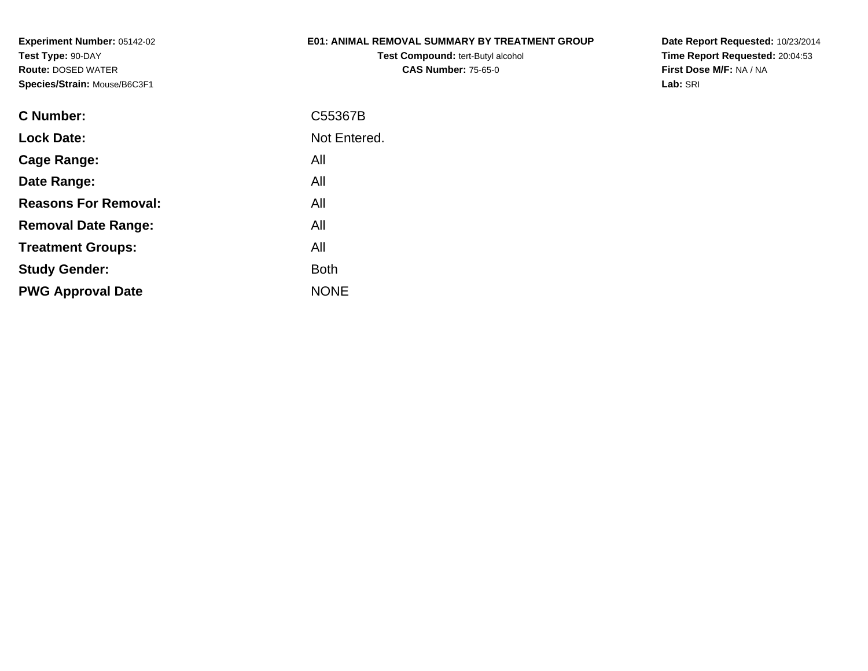# **E01: ANIMAL REMOVAL SUMMARY BY TREATMENT GROUP**

**Test Compound:** tert-Butyl alcohol **CAS Number:** 75-65-0

| C Number:                   | C55367B      |
|-----------------------------|--------------|
| <b>Lock Date:</b>           | Not Entered. |
| Cage Range:                 | All          |
| Date Range:                 | All          |
| <b>Reasons For Removal:</b> | All          |
| <b>Removal Date Range:</b>  | All          |
| <b>Treatment Groups:</b>    | All          |
| <b>Study Gender:</b>        | <b>Both</b>  |
| <b>PWG Approval Date</b>    | <b>NONE</b>  |
|                             |              |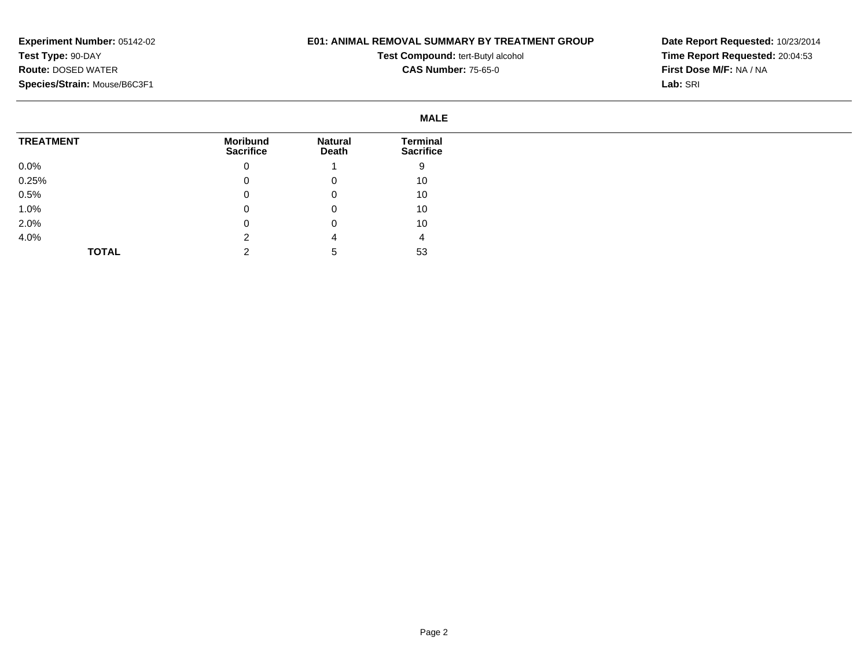# **E01: ANIMAL REMOVAL SUMMARY BY TREATMENT GROUP**

**Test Compound:** tert-Butyl alcohol **CAS Number:** 75-65-0

|                  | <b>MALE</b>                         |                         |                                     |
|------------------|-------------------------------------|-------------------------|-------------------------------------|
| <b>TREATMENT</b> | <b>Moribund</b><br><b>Sacrifice</b> | <b>Natural</b><br>Death | <b>Terminal</b><br><b>Sacrifice</b> |
| $0.0\%$          | u                                   |                         | 9                                   |
| 0.25%            | 0                                   | 0                       | 10                                  |
| 0.5%             |                                     | 0                       | 10                                  |
| 1.0%             |                                     | 0                       | 10                                  |
| 2.0%             |                                     | 0                       | 10                                  |
| 4.0%             |                                     | 4                       | 4                                   |
| <b>TOTAL</b>     |                                     |                         | 53                                  |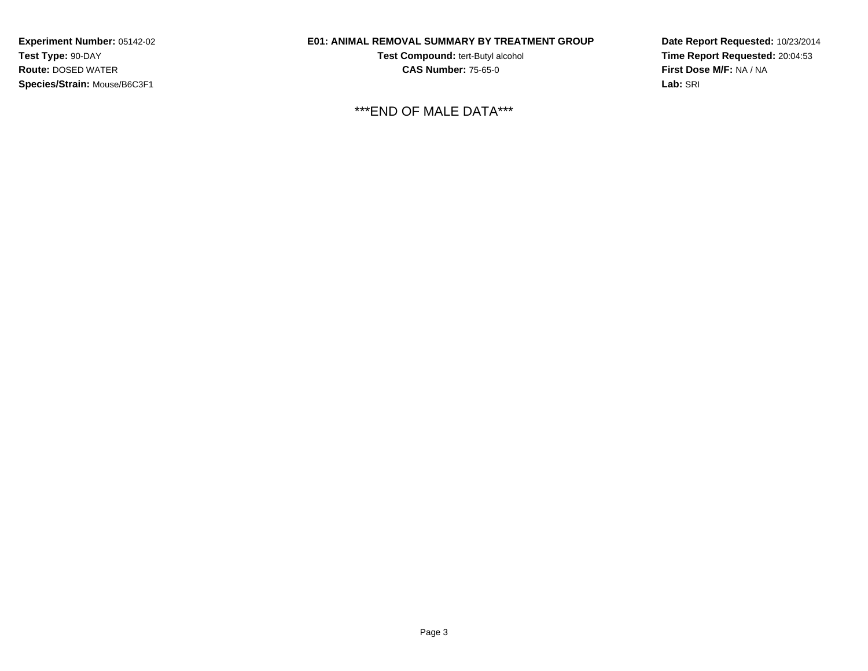# **E01: ANIMAL REMOVAL SUMMARY BY TREATMENT GROUP**

**Test Compound:** tert-Butyl alcohol **CAS Number:** 75-65-0

\*\*\*END OF MALE DATA\*\*\*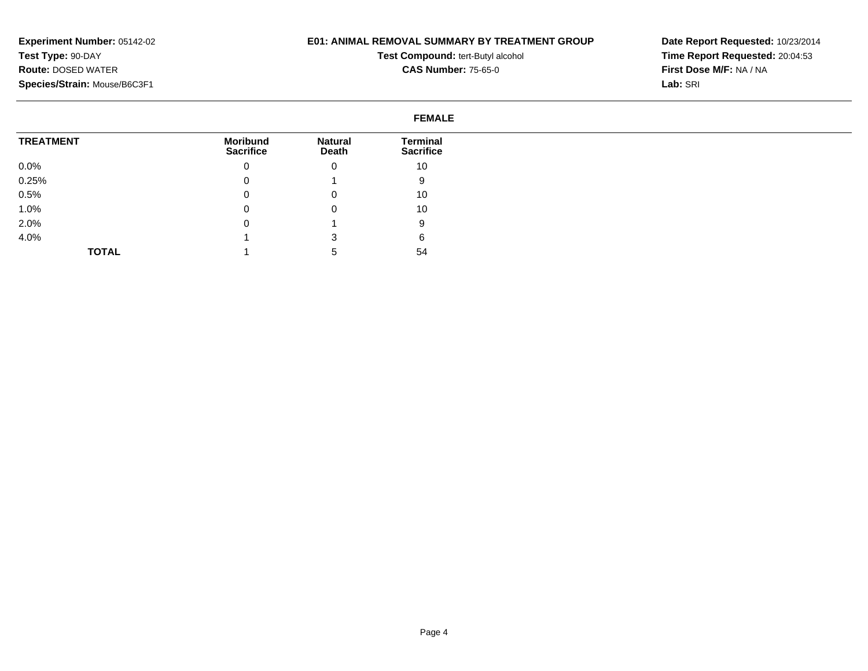# **E01: ANIMAL REMOVAL SUMMARY BY TREATMENT GROUP**

**Test Compound:** tert-Butyl alcohol **CAS Number:** 75-65-0

|                  | <b>FEMALE</b>                       |                                |                                     |
|------------------|-------------------------------------|--------------------------------|-------------------------------------|
| <b>TREATMENT</b> | <b>Moribund</b><br><b>Sacrifice</b> | <b>Natural</b><br><b>Death</b> | <b>Terminal</b><br><b>Sacrifice</b> |
| $0.0\%$          |                                     | 0                              | 10                                  |
| 0.25%            |                                     |                                | 9                                   |
| 0.5%             |                                     | 0                              | 10                                  |
| 1.0%             |                                     | 0                              | 10                                  |
| 2.0%             |                                     |                                | 9                                   |
| 4.0%             |                                     | 3                              | 6                                   |
| <b>TOTAL</b>     |                                     |                                | 54                                  |